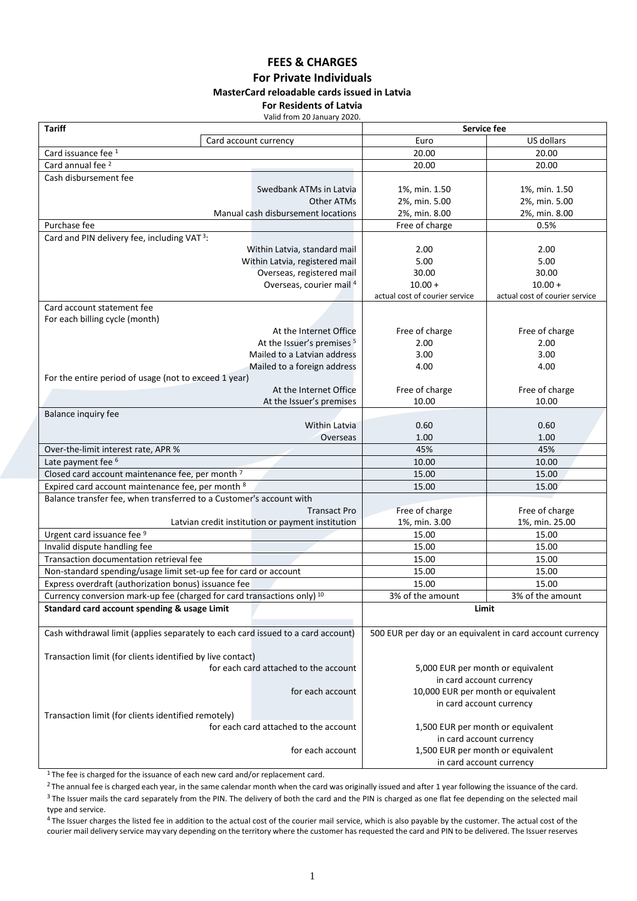#### **FEES & CHARGES For Private Individuals MasterCard reloadable cards issued in Latvia For Residents of Latvia**

Valid from 20 January 2020.

| <b>Tariff</b>                                                                      | Service fee                                                    |                                |  |
|------------------------------------------------------------------------------------|----------------------------------------------------------------|--------------------------------|--|
| Card account currency                                                              | Euro                                                           | US dollars                     |  |
| Card issuance fee 1                                                                | 20.00                                                          | 20.00                          |  |
| Card annual fee <sup>2</sup>                                                       | 20.00                                                          | 20.00                          |  |
| Cash disbursement fee                                                              |                                                                |                                |  |
| Swedbank ATMs in Latvia                                                            | 1%, min. 1.50                                                  | 1%, min. 1.50                  |  |
| Other ATMs                                                                         | 2%, min. 5.00                                                  | 2%, min. 5.00                  |  |
| Manual cash disbursement locations                                                 | 2%, min. 8.00                                                  | 2%, min. 8.00                  |  |
| Purchase fee                                                                       | Free of charge                                                 | 0.5%                           |  |
| Card and PIN delivery fee, including VAT <sup>3</sup> :                            |                                                                |                                |  |
| Within Latvia, standard mail                                                       | 2.00                                                           | 2.00                           |  |
| Within Latvia, registered mail                                                     | 5.00                                                           | 5.00                           |  |
| Overseas, registered mail                                                          | 30.00                                                          | 30.00                          |  |
| Overseas, courier mail 4                                                           | $10.00 +$                                                      | $10.00 +$                      |  |
|                                                                                    | actual cost of courier service                                 | actual cost of courier service |  |
| Card account statement fee                                                         |                                                                |                                |  |
| For each billing cycle (month)<br>At the Internet Office                           | Free of charge                                                 | Free of charge                 |  |
| At the Issuer's premises <sup>5</sup>                                              | 2.00                                                           | 2.00                           |  |
| Mailed to a Latvian address                                                        | 3.00                                                           | 3.00                           |  |
| Mailed to a foreign address                                                        | 4.00                                                           | 4.00                           |  |
| For the entire period of usage (not to exceed 1 year)                              |                                                                |                                |  |
| At the Internet Office                                                             | Free of charge                                                 | Free of charge                 |  |
| At the Issuer's premises                                                           | 10.00                                                          | 10.00                          |  |
| Balance inquiry fee                                                                |                                                                |                                |  |
| Within Latvia                                                                      | 0.60                                                           | 0.60                           |  |
| Overseas                                                                           | 1.00                                                           | 1.00                           |  |
| Over-the-limit interest rate, APR %                                                | 45%                                                            | 45%                            |  |
| Late payment fee <sup>6</sup>                                                      | 10.00                                                          | 10.00                          |  |
| Closed card account maintenance fee, per month <sup>7</sup>                        | 15.00                                                          | 15.00                          |  |
| Expired card account maintenance fee, per month 8                                  | 15.00                                                          | 15.00                          |  |
| Balance transfer fee, when transferred to a Customer's account with                |                                                                |                                |  |
| <b>Transact Pro</b>                                                                | Free of charge                                                 | Free of charge                 |  |
| Latvian credit institution or payment institution                                  | 1%, min. 3.00                                                  | 1%, min. 25.00                 |  |
| Urgent card issuance fee 9                                                         | 15.00                                                          | 15.00                          |  |
| Invalid dispute handling fee                                                       | 15.00                                                          | 15.00                          |  |
| Transaction documentation retrieval fee                                            | 15.00                                                          | 15.00                          |  |
| Non-standard spending/usage limit set-up fee for card or account                   | 15.00                                                          | 15.00                          |  |
| Express overdraft (authorization bonus) issuance fee                               | 15.00                                                          | 15.00                          |  |
| Currency conversion mark-up fee (charged for card transactions only) <sup>10</sup> | 3% of the amount                                               | 3% of the amount               |  |
| Standard card account spending & usage Limit                                       | Limit                                                          |                                |  |
|                                                                                    |                                                                |                                |  |
| Cash withdrawal limit (applies separately to each card issued to a card account)   | 500 EUR per day or an equivalent in card account currency      |                                |  |
|                                                                                    |                                                                |                                |  |
| Transaction limit (for clients identified by live contact)                         | for each card attached to the account                          |                                |  |
|                                                                                    | 5,000 EUR per month or equivalent                              |                                |  |
| for each account                                                                   | in card account currency<br>10,000 EUR per month or equivalent |                                |  |
|                                                                                    | in card account currency                                       |                                |  |
| Transaction limit (for clients identified remotely)                                |                                                                |                                |  |
| for each card attached to the account                                              | 1,500 EUR per month or equivalent                              |                                |  |
|                                                                                    | in card account currency                                       |                                |  |
| for each account                                                                   | 1,500 EUR per month or equivalent                              |                                |  |
|                                                                                    | in card account currency                                       |                                |  |

<sup>1</sup>The fee is charged for the issuance of each new card and/or replacement card.

<sup>2</sup> The annual fee is charged each year, in the same calendar month when the card was originally issued and after 1 year following the issuance of the card. <sup>3</sup> The Issuer mails the card separately from the PIN. The delivery of both the card and the PIN is charged as one flat fee depending on the selected mail type and service.

<sup>4</sup> The Issuer charges the listed fee in addition to the actual cost of the courier mail service, which is also payable by the customer. The actual cost of the courier mail delivery service may vary depending on the territory where the customer has requested the card and PIN to be delivered. The Issuer reserves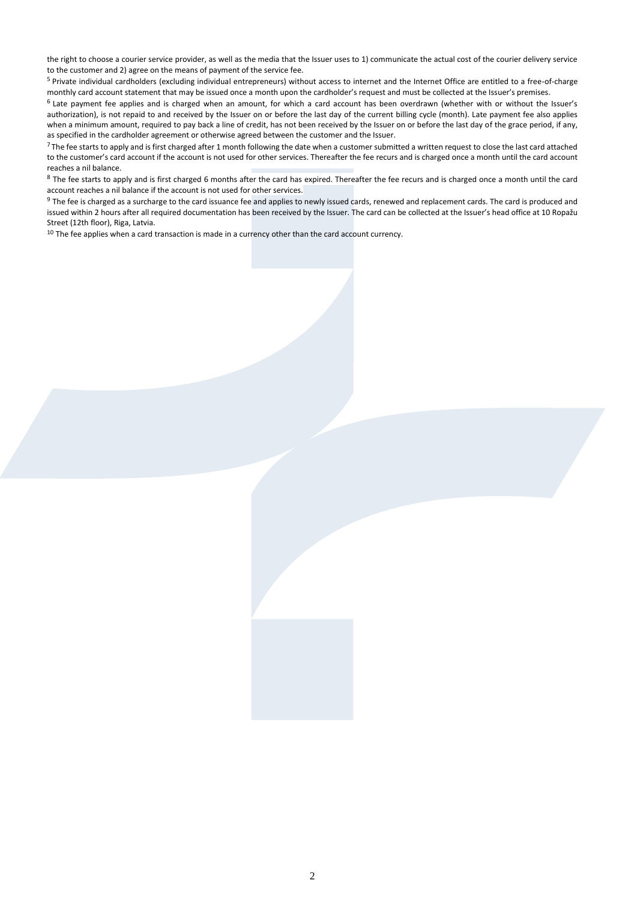the right to choose a courier service provider, as well as the media that the Issuer uses to 1) communicate the actual cost of the courier delivery service to the customer and 2) agree on the means of payment of the service fee.

<sup>5</sup> Private individual cardholders (excluding individual entrepreneurs) without access to internet and the Internet Office are entitled to a free-of-charge monthly card account statement that may be issued once a month upon the cardholder's request and must be collected at the Issuer's premises.

<sup>6</sup> Late payment fee applies and is charged when an amount, for which a card account has been overdrawn (whether with or without the Issuer's authorization), is not repaid to and received by the Issuer on or before the last day of the current billing cycle (month). Late payment fee also applies when a minimum amount, required to pay back a line of credit, has not been received by the Issuer on or before the last day of the grace period, if any, as specified in the cardholder agreement or otherwise agreed between the customer and the Issuer.

<sup>7</sup> The fee starts to apply and is first charged after 1 month following the date when a customer submitted a written request to close the last card attached to the customer's card account if the account is not used for other services. Thereafter the fee recurs and is charged once a month until the card account reaches a nil balance.

<sup>8</sup> The fee starts to apply and is first charged 6 months after the card has expired. Thereafter the fee recurs and is charged once a month until the card account reaches a nil balance if the account is not used for other services.

<sup>9</sup> The fee is charged as a surcharge to the card issuance fee and applies to newly issued cards, renewed and replacement cards. The card is produced and issued within 2 hours after all required documentation has been received by the Issuer. The card can be collected at the Issuer's head office at 10 Ropažu Street (12th floor), Riga, Latvia.

 $10$  The fee applies when a card transaction is made in a currency other than the card account currency.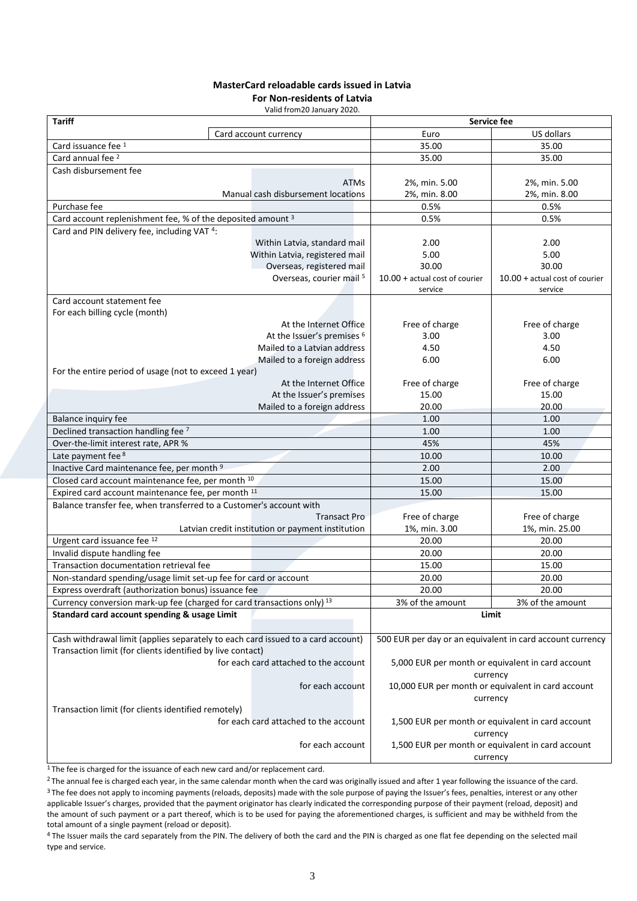#### **MasterCard reloadable cards issued in Latvia**

**For Non-residents of Latvia**

Valid from20 January 2020.

| <b>Tariff</b>                                                                      |                                                   | Service fee                                                   |                                  |
|------------------------------------------------------------------------------------|---------------------------------------------------|---------------------------------------------------------------|----------------------------------|
|                                                                                    | Card account currency                             | Euro                                                          | US dollars                       |
| Card issuance fee 1                                                                |                                                   | 35.00                                                         | 35.00                            |
| Card annual fee <sup>2</sup>                                                       |                                                   | 35.00                                                         | 35.00                            |
| Cash disbursement fee                                                              |                                                   |                                                               |                                  |
|                                                                                    | <b>ATMs</b>                                       | 2%, min. 5.00                                                 | 2%, min. 5.00                    |
|                                                                                    | Manual cash disbursement locations                | 2%, min. 8.00                                                 | 2%, min. 8.00                    |
| Purchase fee                                                                       |                                                   | 0.5%                                                          | 0.5%                             |
| Card account replenishment fee, % of the deposited amount <sup>3</sup>             |                                                   | 0.5%                                                          | 0.5%                             |
| Card and PIN delivery fee, including VAT <sup>4</sup> :                            |                                                   |                                                               |                                  |
|                                                                                    | Within Latvia, standard mail                      | 2.00                                                          | 2.00                             |
|                                                                                    | Within Latvia, registered mail                    | 5.00                                                          | 5.00                             |
|                                                                                    | Overseas, registered mail                         | 30.00                                                         | 30.00                            |
|                                                                                    | Overseas, courier mail 5                          | $10.00 + actual cost of courier$                              | $10.00 + actual cost of courier$ |
|                                                                                    |                                                   | service                                                       | service                          |
| Card account statement fee                                                         |                                                   |                                                               |                                  |
| For each billing cycle (month)                                                     |                                                   |                                                               |                                  |
|                                                                                    | At the Internet Office                            | Free of charge                                                | Free of charge                   |
|                                                                                    | At the Issuer's premises <sup>6</sup>             | 3.00                                                          | 3.00                             |
|                                                                                    | Mailed to a Latvian address                       | 4.50<br>6.00                                                  | 4.50<br>6.00                     |
|                                                                                    | Mailed to a foreign address                       |                                                               |                                  |
| For the entire period of usage (not to exceed 1 year)                              | At the Internet Office                            | Free of charge                                                | Free of charge                   |
|                                                                                    | At the Issuer's premises                          | 15.00                                                         | 15.00                            |
|                                                                                    | Mailed to a foreign address                       | 20.00                                                         | 20.00                            |
| Balance inquiry fee                                                                |                                                   | 1.00                                                          | 1.00                             |
| Declined transaction handling fee 7                                                |                                                   | 1.00                                                          | 1.00                             |
| Over-the-limit interest rate, APR %                                                |                                                   | 45%                                                           | 45%                              |
| Late payment fee 8                                                                 |                                                   | 10.00                                                         | 10.00                            |
| Inactive Card maintenance fee, per month <sup>9</sup>                              |                                                   | 2.00                                                          | 2.00                             |
| Closed card account maintenance fee, per month 10                                  |                                                   | 15.00                                                         | 15.00                            |
| Expired card account maintenance fee, per month 11                                 |                                                   | 15.00                                                         | 15.00                            |
| Balance transfer fee, when transferred to a Customer's account with                |                                                   |                                                               |                                  |
|                                                                                    | <b>Transact Pro</b>                               | Free of charge                                                | Free of charge                   |
|                                                                                    | Latvian credit institution or payment institution | 1%, min. 3.00                                                 | 1%, min. 25.00                   |
| Urgent card issuance fee 12                                                        |                                                   | 20.00                                                         | 20.00                            |
| Invalid dispute handling fee                                                       |                                                   | 20.00                                                         | 20.00                            |
| Transaction documentation retrieval fee                                            |                                                   | 15.00                                                         | 15.00                            |
| Non-standard spending/usage limit set-up fee for card or account                   |                                                   | 20.00                                                         | 20.00                            |
| Express overdraft (authorization bonus) issuance fee                               |                                                   | 20.00                                                         | 20.00                            |
| Currency conversion mark-up fee (charged for card transactions only) <sup>13</sup> |                                                   | 3% of the amount                                              | 3% of the amount                 |
| Standard card account spending & usage Limit                                       |                                                   | Limit                                                         |                                  |
|                                                                                    |                                                   |                                                               |                                  |
| Cash withdrawal limit (applies separately to each card issued to a card account)   |                                                   | 500 EUR per day or an equivalent in card account currency     |                                  |
| Transaction limit (for clients identified by live contact)                         |                                                   |                                                               |                                  |
|                                                                                    | for each card attached to the account             | 5,000 EUR per month or equivalent in card account             |                                  |
|                                                                                    |                                                   | currency                                                      |                                  |
|                                                                                    | for each account                                  | 10,000 EUR per month or equivalent in card account            |                                  |
|                                                                                    |                                                   | currency                                                      |                                  |
| Transaction limit (for clients identified remotely)                                |                                                   |                                                               |                                  |
| for each card attached to the account                                              |                                                   | 1,500 EUR per month or equivalent in card account             |                                  |
| for each account                                                                   |                                                   | currency<br>1,500 EUR per month or equivalent in card account |                                  |
|                                                                                    |                                                   | currency                                                      |                                  |

 $1$ The fee is charged for the issuance of each new card and/or replacement card.

<sup>2</sup>The annual fee is charged each year, in the same calendar month when the card was originally issued and after 1 year following the issuance of the card. <sup>3</sup>The fee does not apply to incoming payments (reloads, deposits) made with the sole purpose of paying the Issuer's fees, penalties, interest or any other applicable Issuer's charges, provided that the payment originator has clearly indicated the corresponding purpose of their payment (reload, deposit) and the amount of such payment or a part thereof, which is to be used for paying the aforementioned charges, is sufficient and may be withheld from the total amount of a single payment (reload or deposit).

<sup>4</sup> The Issuer mails the card separately from the PIN. The delivery of both the card and the PIN is charged as one flat fee depending on the selected mail type and service.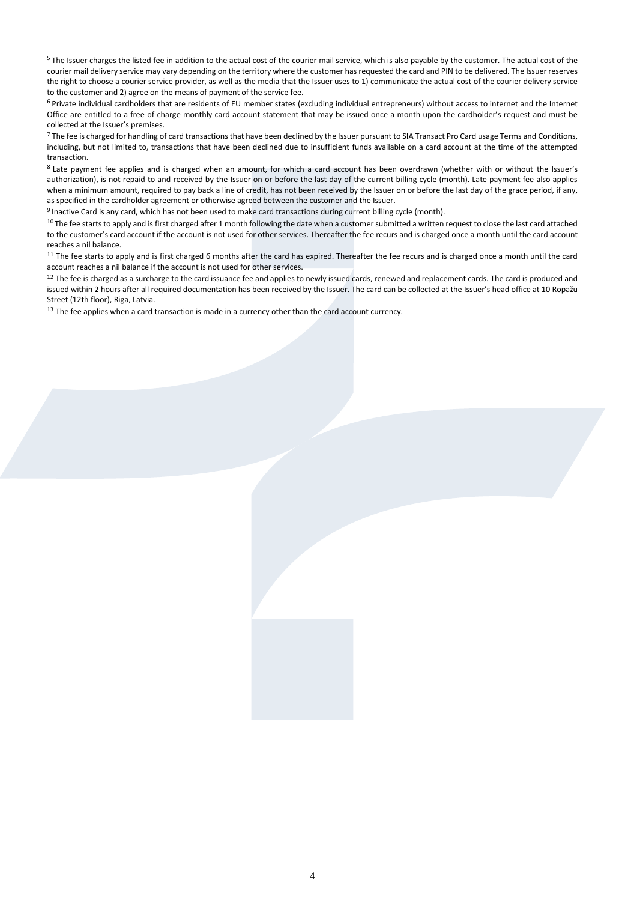<sup>5</sup> The Issuer charges the listed fee in addition to the actual cost of the courier mail service, which is also payable by the customer. The actual cost of the courier mail delivery service may vary depending on the territory where the customer has requested the card and PIN to be delivered. The Issuer reserves the right to choose a courier service provider, as well as the media that the Issuer uses to 1) communicate the actual cost of the courier delivery service to the customer and 2) agree on the means of payment of the service fee.

<sup>6</sup> Private individual cardholders that are residents of EU member states (excluding individual entrepreneurs) without access to internet and the Internet Office are entitled to a free-of-charge monthly card account statement that may be issued once a month upon the cardholder's request and must be collected at the Issuer's premises.

<sup>7</sup> The fee is charged for handling of card transactions that have been declined by the Issuer pursuant to SIA Transact Pro Card usage Terms and Conditions, including, but not limited to, transactions that have been declined due to insufficient funds available on a card account at the time of the attempted transaction.

8 Late payment fee applies and is charged when an amount, for which a card account has been overdrawn (whether with or without the Issuer's authorization), is not repaid to and received by the Issuer on or before the last day of the current billing cycle (month). Late payment fee also applies when a minimum amount, required to pay back a line of credit, has not been received by the Issuer on or before the last day of the grace period, if any, as specified in the cardholder agreement or otherwise agreed between the customer and the Issuer.

<sup>9</sup>Inactive Card is any card, which has not been used to make card transactions during current billing cycle (month).

 $10$  The fee starts to apply and is first charged after 1 month following the date when a customer submitted a written request to close the last card attached to the customer's card account if the account is not used for other services. Thereafter the fee recurs and is charged once a month until the card account reaches a nil balance.

<sup>11</sup> The fee starts to apply and is first charged 6 months after the card has expired. Thereafter the fee recurs and is charged once a month until the card account reaches a nil balance if the account is not used for other services.

<sup>12</sup> The fee is charged as a surcharge to the card issuance fee and applies to newly issued cards, renewed and replacement cards. The card is produced and issued within 2 hours after all required documentation has been received by the Issuer. The card can be collected at the Issuer's head office at 10 Ropažu Street (12th floor), Riga, Latvia.

<sup>13</sup> The fee applies when a card transaction is made in a currency other than the card account currency.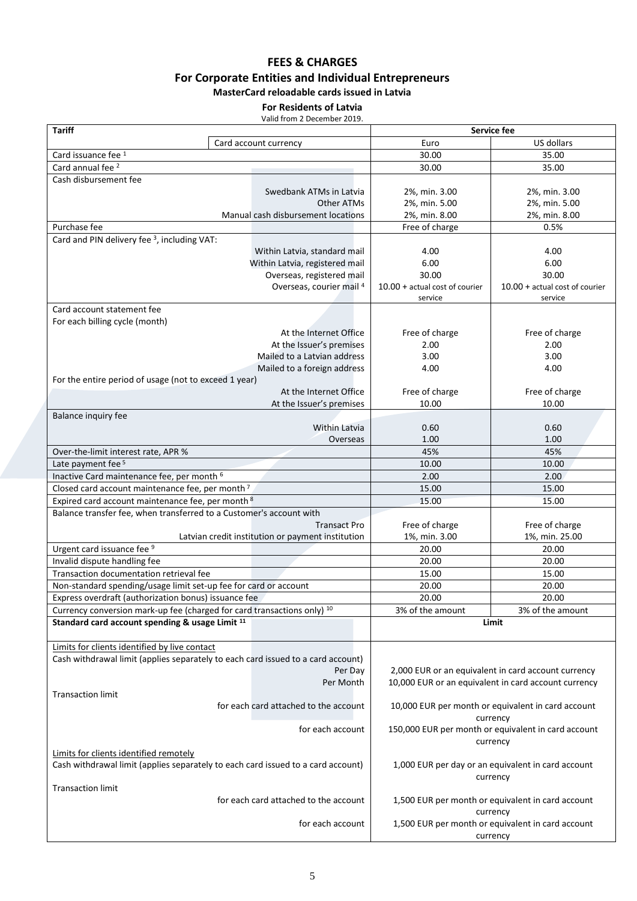## **FEES & CHARGES For Corporate Entities and Individual Entrepreneurs MasterCard reloadable cards issued in Latvia**

### **For Residents of Latvia**

Valid from 2 December 2019.

| <b>Tariff</b>                                                                    |  | Service fee                                                     |                                  |                                                      |
|----------------------------------------------------------------------------------|--|-----------------------------------------------------------------|----------------------------------|------------------------------------------------------|
|                                                                                  |  | Card account currency                                           | Euro                             | US dollars                                           |
| Card issuance fee 1                                                              |  | 30.00                                                           | 35.00                            |                                                      |
| Card annual fee <sup>2</sup>                                                     |  |                                                                 | 30.00                            | 35.00                                                |
| Cash disbursement fee                                                            |  |                                                                 |                                  |                                                      |
|                                                                                  |  | Swedbank ATMs in Latvia                                         | 2%, min. 3.00                    | 2%, min. 3.00                                        |
|                                                                                  |  | Other ATMs                                                      | 2%, min. 5.00                    | 2%, min. 5.00                                        |
|                                                                                  |  | Manual cash disbursement locations                              | 2%, min. 8.00                    | 2%, min. 8.00                                        |
| Purchase fee                                                                     |  |                                                                 | Free of charge                   | 0.5%                                                 |
| Card and PIN delivery fee <sup>3</sup> , including VAT:                          |  |                                                                 |                                  |                                                      |
|                                                                                  |  | Within Latvia, standard mail                                    | 4.00                             | 4.00                                                 |
|                                                                                  |  | Within Latvia, registered mail                                  | 6.00                             | 6.00                                                 |
|                                                                                  |  | Overseas, registered mail                                       | 30.00                            | 30.00                                                |
|                                                                                  |  | Overseas, courier mail 4                                        | $10.00 + actual cost of courier$ | $10.00 + actual cost of courier$                     |
|                                                                                  |  |                                                                 | service                          | service                                              |
| Card account statement fee                                                       |  |                                                                 |                                  |                                                      |
| For each billing cycle (month)                                                   |  |                                                                 |                                  |                                                      |
|                                                                                  |  | At the Internet Office                                          | Free of charge                   | Free of charge                                       |
|                                                                                  |  | At the Issuer's premises                                        | 2.00                             | 2.00                                                 |
|                                                                                  |  | Mailed to a Latvian address                                     | 3.00                             | 3.00                                                 |
|                                                                                  |  | Mailed to a foreign address                                     | 4.00                             | 4.00                                                 |
| For the entire period of usage (not to exceed 1 year)                            |  |                                                                 |                                  |                                                      |
|                                                                                  |  | At the Internet Office                                          | Free of charge                   | Free of charge                                       |
|                                                                                  |  | At the Issuer's premises                                        | 10.00                            | 10.00                                                |
| Balance inquiry fee                                                              |  |                                                                 |                                  |                                                      |
|                                                                                  |  | Within Latvia                                                   | 0.60                             | 0.60                                                 |
|                                                                                  |  | Overseas                                                        | 1.00                             | 1.00                                                 |
| Over-the-limit interest rate, APR %                                              |  |                                                                 | 45%                              | 45%                                                  |
| Late payment fee <sup>5</sup>                                                    |  | 10.00                                                           | 10.00                            |                                                      |
| Inactive Card maintenance fee, per month <sup>6</sup>                            |  | 2.00                                                            | 2.00                             |                                                      |
| Closed card account maintenance fee, per month <sup>7</sup>                      |  | 15.00                                                           | 15.00                            |                                                      |
| Expired card account maintenance fee, per month 8                                |  | 15.00                                                           | 15.00                            |                                                      |
| Balance transfer fee, when transferred to a Customer's account with              |  |                                                                 |                                  |                                                      |
|                                                                                  |  | <b>Transact Pro</b>                                             | Free of charge                   | Free of charge                                       |
|                                                                                  |  | Latvian credit institution or payment institution               | 1%, min. 3.00                    | 1%, min. 25.00                                       |
| Urgent card issuance fee 9                                                       |  |                                                                 | 20.00                            | 20.00                                                |
| Invalid dispute handling fee                                                     |  |                                                                 | 20.00                            | 20.00                                                |
| Transaction documentation retrieval fee                                          |  |                                                                 | 15.00                            | 15.00                                                |
| Non-standard spending/usage limit set-up fee for card or account                 |  |                                                                 | 20.00                            | 20.00                                                |
| Express overdraft (authorization bonus) issuance fee                             |  |                                                                 | 20.00                            | 20.00                                                |
| Currency conversion mark-up fee (charged for card transactions only) 10          |  |                                                                 | 3% of the amount                 | 3% of the amount                                     |
| Standard card account spending & usage Limit <sup>11</sup>                       |  |                                                                 |                                  | Limit                                                |
|                                                                                  |  |                                                                 |                                  |                                                      |
| Limits for clients identified by live contact                                    |  |                                                                 |                                  |                                                      |
| Cash withdrawal limit (applies separately to each card issued to a card account) |  |                                                                 |                                  |                                                      |
|                                                                                  |  | Per Day                                                         |                                  | 2,000 EUR or an equivalent in card account currency  |
|                                                                                  |  | Per Month                                                       |                                  | 10,000 EUR or an equivalent in card account currency |
| <b>Transaction limit</b>                                                         |  |                                                                 |                                  |                                                      |
|                                                                                  |  | for each card attached to the account                           |                                  | 10,000 EUR per month or equivalent in card account   |
|                                                                                  |  |                                                                 |                                  |                                                      |
|                                                                                  |  | for each account                                                | currency                         |                                                      |
|                                                                                  |  | 150,000 EUR per month or equivalent in card account<br>currency |                                  |                                                      |
| Limits for clients identified remotely                                           |  |                                                                 |                                  |                                                      |
| Cash withdrawal limit (applies separately to each card issued to a card account) |  |                                                                 |                                  | 1,000 EUR per day or an equivalent in card account   |
|                                                                                  |  |                                                                 |                                  | currency                                             |
| <b>Transaction limit</b>                                                         |  |                                                                 |                                  |                                                      |
|                                                                                  |  | for each card attached to the account                           |                                  | 1,500 EUR per month or equivalent in card account    |
|                                                                                  |  |                                                                 | currency                         |                                                      |
|                                                                                  |  | for each account                                                |                                  | 1,500 EUR per month or equivalent in card account    |
|                                                                                  |  | currency                                                        |                                  |                                                      |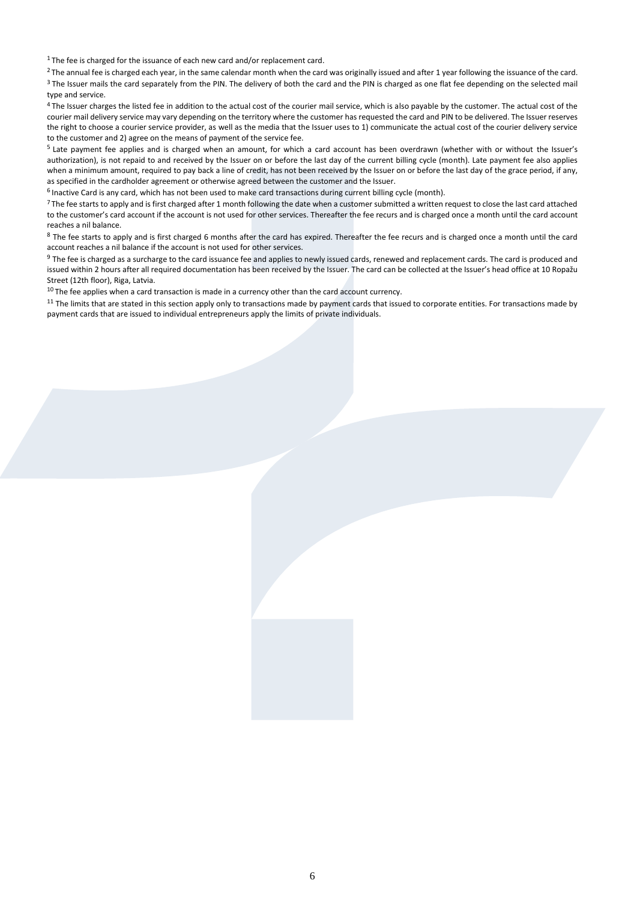$1$ The fee is charged for the issuance of each new card and/or replacement card.

<sup>2</sup>The annual fee is charged each year, in the same calendar month when the card was originally issued and after 1 year following the issuance of the card. <sup>3</sup> The Issuer mails the card separately from the PIN. The delivery of both the card and the PIN is charged as one flat fee depending on the selected mail type and service.

<sup>4</sup> The Issuer charges the listed fee in addition to the actual cost of the courier mail service, which is also payable by the customer. The actual cost of the courier mail delivery service may vary depending on the territory where the customer has requested the card and PIN to be delivered. The Issuer reserves the right to choose a courier service provider, as well as the media that the Issuer uses to 1) communicate the actual cost of the courier delivery service to the customer and 2) agree on the means of payment of the service fee.

<sup>5</sup> Late payment fee applies and is charged when an amount, for which a card account has been overdrawn (whether with or without the Issuer's authorization), is not repaid to and received by the Issuer on or before the last day of the current billing cycle (month). Late payment fee also applies when a minimum amount, required to pay back a line of credit, has not been received by the Issuer on or before the last day of the grace period, if any, as specified in the cardholder agreement or otherwise agreed between the customer and the Issuer.

<sup>6</sup> Inactive Card is any card, which has not been used to make card transactions during current billing cycle (month).

<sup>7</sup> The fee starts to apply and is first charged after 1 month following the date when a customer submitted a written request to close the last card attached to the customer's card account if the account is not used for other services. Thereafter the fee recurs and is charged once a month until the card account reaches a nil balance.

<sup>8</sup> The fee starts to apply and is first charged 6 months after the card has expired. Thereafter the fee recurs and is charged once a month until the card account reaches a nil balance if the account is not used for other services.

 $9$  The fee is charged as a surcharge to the card issuance fee and applies to newly issued cards, renewed and replacement cards. The card is produced and issued within 2 hours after all required documentation has been received by the Issuer. The card can be collected at the Issuer's head office at 10 Ropažu Street (12th floor), Riga, Latvia.

 $10$  The fee applies when a card transaction is made in a currency other than the card account currency.

 $11$  The limits that are stated in this section apply only to transactions made by payment cards that issued to corporate entities. For transactions made by payment cards that are issued to individual entrepreneurs apply the limits of private individuals.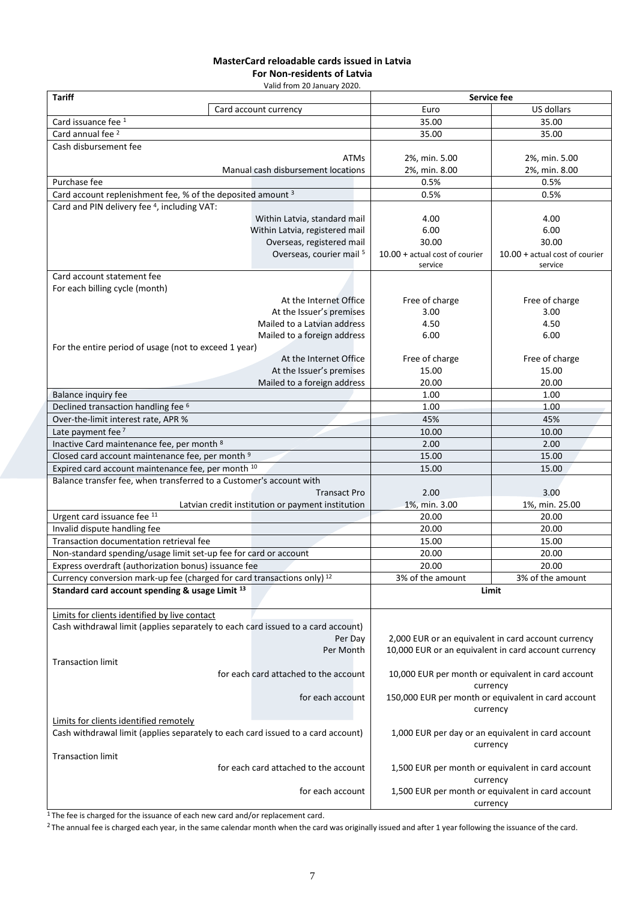# **MasterCard reloadable cards issued in Latvia**

**For Non-residents of Latvia** Valid from 20 January 2020.

| vallu II oli I zo Jahual v zozo.<br><b>Tariff</b>                                  |  | Service fee                                       |                                                    |                                                      |
|------------------------------------------------------------------------------------|--|---------------------------------------------------|----------------------------------------------------|------------------------------------------------------|
|                                                                                    |  | Card account currency                             | Euro                                               | US dollars                                           |
| Card issuance fee 1                                                                |  |                                                   | 35.00                                              | 35.00                                                |
| Card annual fee <sup>2</sup>                                                       |  |                                                   | 35.00                                              | 35.00                                                |
| Cash disbursement fee                                                              |  |                                                   |                                                    |                                                      |
|                                                                                    |  | <b>ATMs</b>                                       | 2%, min. 5.00                                      | 2%, min. 5.00                                        |
|                                                                                    |  | Manual cash disbursement locations                | 2%, min. 8.00                                      | 2%, min. 8.00                                        |
| Purchase fee                                                                       |  |                                                   | 0.5%                                               | 0.5%                                                 |
| Card account replenishment fee, % of the deposited amount <sup>3</sup>             |  |                                                   | 0.5%                                               | 0.5%                                                 |
| Card and PIN delivery fee <sup>4</sup> , including VAT:                            |  |                                                   |                                                    |                                                      |
|                                                                                    |  | Within Latvia, standard mail                      | 4.00                                               | 4.00                                                 |
|                                                                                    |  | Within Latvia, registered mail                    | 6.00                                               | 6.00                                                 |
|                                                                                    |  |                                                   | 30.00                                              |                                                      |
|                                                                                    |  | Overseas, registered mail                         |                                                    | 30.00                                                |
|                                                                                    |  | Overseas, courier mail 5                          | $10.00 + actual cost of courier$<br>service        | $10.00 + actual cost of courier$<br>service          |
| Card account statement fee                                                         |  |                                                   |                                                    |                                                      |
| For each billing cycle (month)                                                     |  |                                                   |                                                    |                                                      |
|                                                                                    |  | At the Internet Office                            | Free of charge                                     | Free of charge                                       |
|                                                                                    |  | At the Issuer's premises                          | 3.00                                               | 3.00                                                 |
|                                                                                    |  | Mailed to a Latvian address                       | 4.50                                               | 4.50                                                 |
|                                                                                    |  | Mailed to a foreign address                       | 6.00                                               | 6.00                                                 |
| For the entire period of usage (not to exceed 1 year)                              |  |                                                   |                                                    |                                                      |
|                                                                                    |  | At the Internet Office                            | Free of charge                                     | Free of charge                                       |
|                                                                                    |  | At the Issuer's premises                          | 15.00                                              | 15.00                                                |
|                                                                                    |  | Mailed to a foreign address                       | 20.00                                              | 20.00                                                |
|                                                                                    |  |                                                   | 1.00                                               | 1.00                                                 |
| Balance inquiry fee                                                                |  |                                                   |                                                    |                                                      |
| Declined transaction handling fee <sup>6</sup>                                     |  |                                                   | 1.00                                               | 1.00                                                 |
| Over-the-limit interest rate, APR %                                                |  |                                                   | 45%                                                | 45%                                                  |
| Late payment fee <sup>7</sup>                                                      |  | 10.00                                             | 10.00                                              |                                                      |
| Inactive Card maintenance fee, per month 8                                         |  |                                                   | 2.00                                               | 2.00                                                 |
| Closed card account maintenance fee, per month <sup>9</sup>                        |  | 15.00                                             | 15.00                                              |                                                      |
| Expired card account maintenance fee, per month 10                                 |  | 15.00                                             | 15.00                                              |                                                      |
| Balance transfer fee, when transferred to a Customer's account with                |  |                                                   |                                                    |                                                      |
|                                                                                    |  | <b>Transact Pro</b>                               | 2.00                                               | 3.00                                                 |
|                                                                                    |  | Latvian credit institution or payment institution | 1%, min. 3.00                                      | 1%, min. 25.00                                       |
| Urgent card issuance fee 11                                                        |  |                                                   | 20.00                                              | 20.00                                                |
| Invalid dispute handling fee                                                       |  |                                                   | 20.00                                              | 20.00                                                |
| Transaction documentation retrieval fee                                            |  |                                                   | 15.00                                              | 15.00                                                |
| Non-standard spending/usage limit set-up fee for card or account                   |  |                                                   | 20.00                                              | 20.00                                                |
| Express overdraft (authorization bonus) issuance fee                               |  |                                                   | 20.00                                              | 20.00                                                |
| Currency conversion mark-up fee (charged for card transactions only) <sup>12</sup> |  |                                                   | 3% of the amount                                   | 3% of the amount                                     |
| Standard card account spending & usage Limit <sup>13</sup>                         |  |                                                   |                                                    | Limit                                                |
|                                                                                    |  |                                                   |                                                    |                                                      |
| Limits for clients identified by live contact                                      |  |                                                   |                                                    |                                                      |
| Cash withdrawal limit (applies separately to each card issued to a card account)   |  |                                                   |                                                    |                                                      |
|                                                                                    |  | Per Day                                           |                                                    | 2,000 EUR or an equivalent in card account currency  |
|                                                                                    |  | Per Month                                         |                                                    | 10,000 EUR or an equivalent in card account currency |
| <b>Transaction limit</b>                                                           |  |                                                   |                                                    |                                                      |
|                                                                                    |  | for each card attached to the account             |                                                    | 10,000 EUR per month or equivalent in card account   |
|                                                                                    |  |                                                   |                                                    | currency                                             |
|                                                                                    |  | for each account                                  |                                                    | 150,000 EUR per month or equivalent in card account  |
|                                                                                    |  |                                                   | currency                                           |                                                      |
| Limits for clients identified remotely                                             |  |                                                   |                                                    |                                                      |
| Cash withdrawal limit (applies separately to each card issued to a card account)   |  |                                                   | 1,000 EUR per day or an equivalent in card account |                                                      |
|                                                                                    |  |                                                   |                                                    | currency                                             |
| <b>Transaction limit</b>                                                           |  |                                                   |                                                    |                                                      |
| for each card attached to the account                                              |  |                                                   | 1,500 EUR per month or equivalent in card account  |                                                      |
|                                                                                    |  |                                                   | currency                                           |                                                      |
| for each account                                                                   |  |                                                   | 1,500 EUR per month or equivalent in card account  |                                                      |
|                                                                                    |  | currency                                          |                                                    |                                                      |

<sup>1</sup>The fee is charged for the issuance of each new card and/or replacement card.

<sup>2</sup>The annual fee is charged each year, in the same calendar month when the card was originally issued and after 1 year following the issuance of the card.